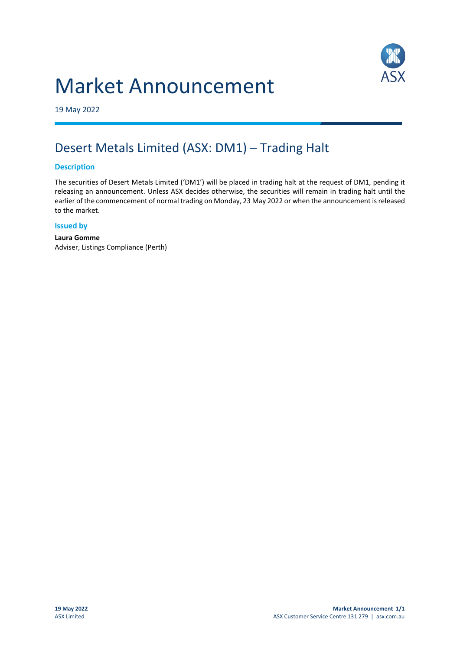# Market Announcement



19 May 2022

## Desert Metals Limited (ASX: DM1) – Trading Halt

#### **Description**

The securities of Desert Metals Limited ('DM1') will be placed in trading halt at the request of DM1, pending it releasing an announcement. Unless ASX decides otherwise, the securities will remain in trading halt until the earlier of the commencement of normal trading on Monday, 23 May 2022 or when the announcement is released to the market.

#### **Issued by**

**Laura Gomme** Adviser, Listings Compliance (Perth)